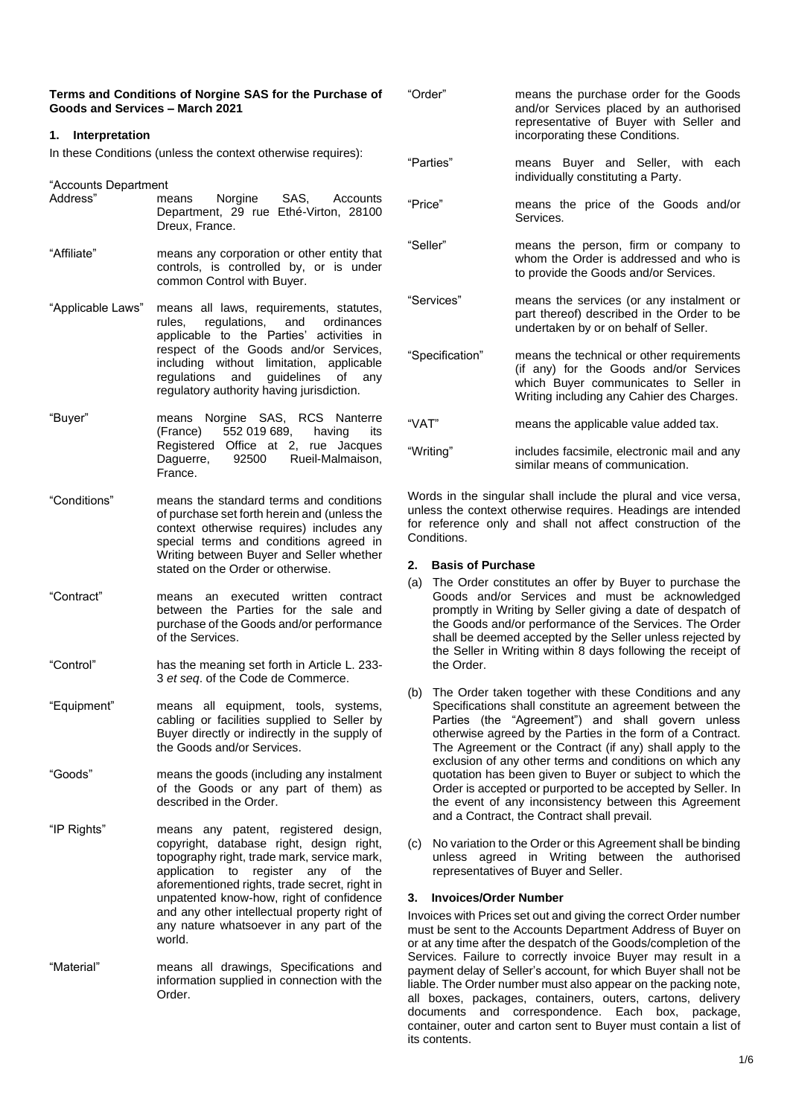| Terms and Conditions of Norgine SAS for the Purchase of |  |
|---------------------------------------------------------|--|
| Goods and Services – March 2021                         |  |

## **1. Interpretation**

In these Conditions (unless the context otherwise requires):

"Accounts Department

- Address" means Norgine SAS, Accounts Department, 29 rue Ethé-Virton, 28100 Dreux, France.
- "Affiliate" means any corporation or other entity that controls, is controlled by, or is under common Control with Buyer.
- "Applicable Laws" means all laws, requirements, statutes, rules, regulations, and ordinances applicable to the Parties' activities in respect of the Goods and/or Services, including without limitation, applicable regulations and guidelines of any regulatory authority having jurisdiction.
- "Buyer" means Norgine SAS, RCS Nanterre (France) 552 019 689, having its Registered Office at 2, rue Jacques Daguerre, 92500 Rueil-Malmaison, France.
- "Conditions" means the standard terms and conditions of purchase set forth herein and (unless the context otherwise requires) includes any special terms and conditions agreed in Writing between Buyer and Seller whether stated on the Order or otherwise.
- "Contract" means an executed written contract between the Parties for the sale and purchase of the Goods and/or performance of the Services.
- "Control" has the meaning set forth in Article L. 233- 3 *et seq*. of the Code de Commerce.
- "Equipment" means all equipment, tools, systems, cabling or facilities supplied to Seller by Buyer directly or indirectly in the supply of the Goods and/or Services.
- "Goods" means the goods (including any instalment of the Goods or any part of them) as described in the Order.
- "IP Rights" means any patent, registered design, copyright, database right, design right, topography right, trade mark, service mark, application to register any of the aforementioned rights, trade secret, right in unpatented know-how, right of confidence and any other intellectual property right of any nature whatsoever in any part of the world.
- "Material" means all drawings, Specifications and information supplied in connection with the Order.

| "Order"         | means the purchase order for the Goods<br>and/or Services placed by an authorised<br>representative of Buyer with Seller and<br>incorporating these Conditions.           |
|-----------------|---------------------------------------------------------------------------------------------------------------------------------------------------------------------------|
| "Parties"       | means Buyer and Seller, with each<br>individually constituting a Party.                                                                                                   |
| "Price"         | means the price of the Goods and/or<br>Services.                                                                                                                          |
| "Seller"        | means the person, firm or company to<br>whom the Order is addressed and who is<br>to provide the Goods and/or Services.                                                   |
| "Services"      | means the services (or any instalment or<br>part thereof) described in the Order to be<br>undertaken by or on behalf of Seller.                                           |
| "Specification" | means the technical or other requirements<br>(if any) for the Goods and/or Services<br>which Buyer communicates to Seller in<br>Writing including any Cahier des Charges. |
| "VAT"           | means the applicable value added tax.                                                                                                                                     |
| "Writing"       | includes facsimile, electronic mail and any<br>similar means of communication.                                                                                            |

Words in the singular shall include the plural and vice versa, unless the context otherwise requires. Headings are intended for reference only and shall not affect construction of the **Conditions** 

### **2. Basis of Purchase**

- (a) The Order constitutes an offer by Buyer to purchase the Goods and/or Services and must be acknowledged promptly in Writing by Seller giving a date of despatch of the Goods and/or performance of the Services. The Order shall be deemed accepted by the Seller unless rejected by the Seller in Writing within 8 days following the receipt of the Order.
- (b) The Order taken together with these Conditions and any Specifications shall constitute an agreement between the Parties (the "Agreement") and shall govern unless otherwise agreed by the Parties in the form of a Contract. The Agreement or the Contract (if any) shall apply to the exclusion of any other terms and conditions on which any quotation has been given to Buyer or subject to which the Order is accepted or purported to be accepted by Seller. In the event of any inconsistency between this Agreement and a Contract, the Contract shall prevail.
- (c) No variation to the Order or this Agreement shall be binding unless agreed in Writing between the authorised representatives of Buyer and Seller.

### **3. Invoices/Order Number**

Invoices with Prices set out and giving the correct Order number must be sent to the Accounts Department Address of Buyer on or at any time after the despatch of the Goods/completion of the Services. Failure to correctly invoice Buyer may result in a payment delay of Seller's account, for which Buyer shall not be liable. The Order number must also appear on the packing note, all boxes, packages, containers, outers, cartons, delivery documents and correspondence. Each box, package, container, outer and carton sent to Buyer must contain a list of its contents.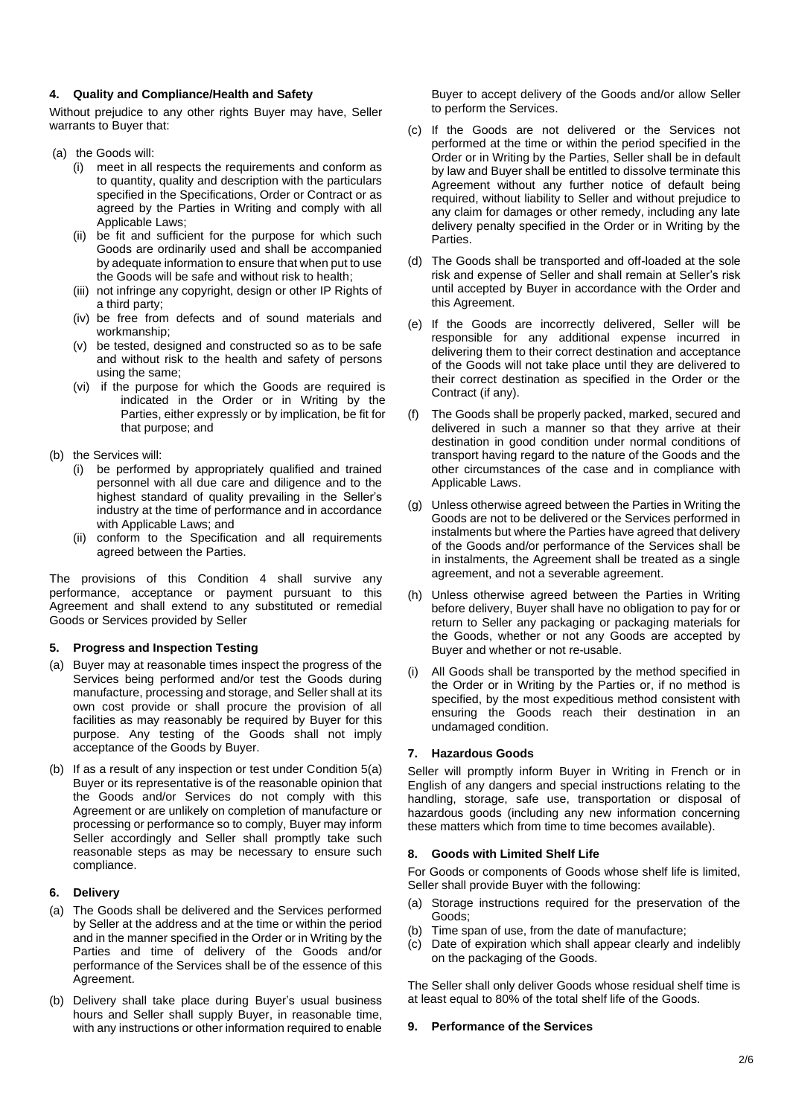## **4. Quality and Compliance/Health and Safety**

Without prejudice to any other rights Buyer may have, Seller warrants to Buyer that:

- (a) the Goods will:
	- (i) meet in all respects the requirements and conform as to quantity, quality and description with the particulars specified in the Specifications, Order or Contract or as agreed by the Parties in Writing and comply with all Applicable Laws;
	- (ii) be fit and sufficient for the purpose for which such Goods are ordinarily used and shall be accompanied by adequate information to ensure that when put to use the Goods will be safe and without risk to health;
	- (iii) not infringe any copyright, design or other IP Rights of a third party;
	- (iv) be free from defects and of sound materials and workmanship;
	- (v) be tested, designed and constructed so as to be safe and without risk to the health and safety of persons using the same;
	- (vi) if the purpose for which the Goods are required is indicated in the Order or in Writing by the Parties, either expressly or by implication, be fit for that purpose; and
- (b) the Services will:
	- (i) be performed by appropriately qualified and trained personnel with all due care and diligence and to the highest standard of quality prevailing in the Seller's industry at the time of performance and in accordance with Applicable Laws; and
	- (ii) conform to the Specification and all requirements agreed between the Parties.

The provisions of this Condition 4 shall survive any performance, acceptance or payment pursuant to this Agreement and shall extend to any substituted or remedial Goods or Services provided by Seller

# **5. Progress and Inspection Testing**

- (a) Buyer may at reasonable times inspect the progress of the Services being performed and/or test the Goods during manufacture, processing and storage, and Seller shall at its own cost provide or shall procure the provision of all facilities as may reasonably be required by Buyer for this purpose. Any testing of the Goods shall not imply acceptance of the Goods by Buyer.
- (b) If as a result of any inspection or test under Condition 5(a) Buyer or its representative is of the reasonable opinion that the Goods and/or Services do not comply with this Agreement or are unlikely on completion of manufacture or processing or performance so to comply, Buyer may inform Seller accordingly and Seller shall promptly take such reasonable steps as may be necessary to ensure such compliance.

### **6. Delivery**

- (a) The Goods shall be delivered and the Services performed by Seller at the address and at the time or within the period and in the manner specified in the Order or in Writing by the Parties and time of delivery of the Goods and/or performance of the Services shall be of the essence of this Agreement.
- (b) Delivery shall take place during Buyer's usual business hours and Seller shall supply Buyer, in reasonable time, with any instructions or other information required to enable

Buyer to accept delivery of the Goods and/or allow Seller to perform the Services.

- (c) If the Goods are not delivered or the Services not performed at the time or within the period specified in the Order or in Writing by the Parties, Seller shall be in default by law and Buyer shall be entitled to dissolve terminate this Agreement without any further notice of default being required, without liability to Seller and without prejudice to any claim for damages or other remedy, including any late delivery penalty specified in the Order or in Writing by the Parties.
- (d) The Goods shall be transported and off-loaded at the sole risk and expense of Seller and shall remain at Seller's risk until accepted by Buyer in accordance with the Order and this Agreement.
- (e) If the Goods are incorrectly delivered, Seller will be responsible for any additional expense incurred in delivering them to their correct destination and acceptance of the Goods will not take place until they are delivered to their correct destination as specified in the Order or the Contract (if any).
- (f) The Goods shall be properly packed, marked, secured and delivered in such a manner so that they arrive at their destination in good condition under normal conditions of transport having regard to the nature of the Goods and the other circumstances of the case and in compliance with Applicable Laws.
- (g) Unless otherwise agreed between the Parties in Writing the Goods are not to be delivered or the Services performed in instalments but where the Parties have agreed that delivery of the Goods and/or performance of the Services shall be in instalments, the Agreement shall be treated as a single agreement, and not a severable agreement.
- (h) Unless otherwise agreed between the Parties in Writing before delivery, Buyer shall have no obligation to pay for or return to Seller any packaging or packaging materials for the Goods, whether or not any Goods are accepted by Buyer and whether or not re-usable.
- (i) All Goods shall be transported by the method specified in the Order or in Writing by the Parties or, if no method is specified, by the most expeditious method consistent with ensuring the Goods reach their destination in an undamaged condition.

# **7. Hazardous Goods**

Seller will promptly inform Buyer in Writing in French or in English of any dangers and special instructions relating to the handling, storage, safe use, transportation or disposal of hazardous goods (including any new information concerning these matters which from time to time becomes available).

### **8. Goods with Limited Shelf Life**

For Goods or components of Goods whose shelf life is limited, Seller shall provide Buyer with the following:

- (a) Storage instructions required for the preservation of the Goods;
- (b) Time span of use, from the date of manufacture;
- (c) Date of expiration which shall appear clearly and indelibly on the packaging of the Goods.

The Seller shall only deliver Goods whose residual shelf time is at least equal to 80% of the total shelf life of the Goods.

### **9. Performance of the Services**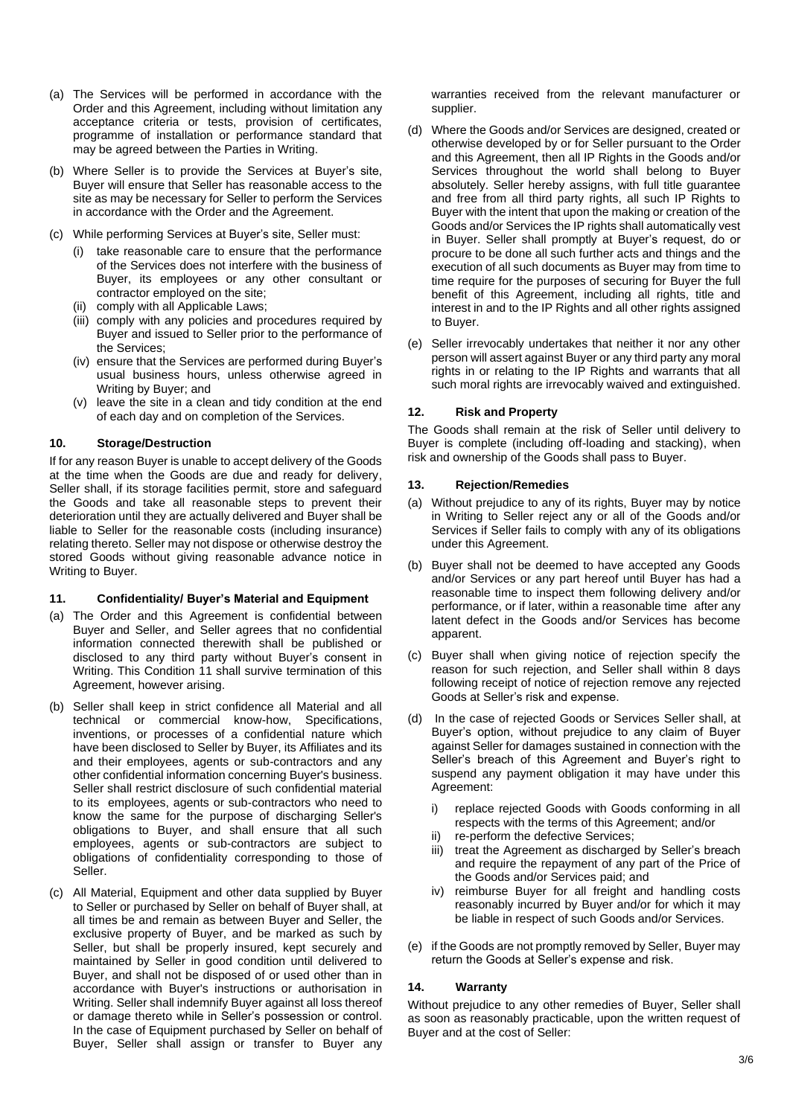- (a) The Services will be performed in accordance with the Order and this Agreement, including without limitation any acceptance criteria or tests, provision of certificates, programme of installation or performance standard that may be agreed between the Parties in Writing.
- (b) Where Seller is to provide the Services at Buyer's site, Buyer will ensure that Seller has reasonable access to the site as may be necessary for Seller to perform the Services in accordance with the Order and the Agreement.
- (c) While performing Services at Buyer's site, Seller must:
	- (i) take reasonable care to ensure that the performance of the Services does not interfere with the business of Buyer, its employees or any other consultant or contractor employed on the site;
	- (ii) comply with all Applicable Laws;
	- (iii) comply with any policies and procedures required by Buyer and issued to Seller prior to the performance of the Services;
	- (iv) ensure that the Services are performed during Buyer's usual business hours, unless otherwise agreed in Writing by Buyer; and
	- (v) leave the site in a clean and tidy condition at the end of each day and on completion of the Services.

## **10. Storage/Destruction**

If for any reason Buyer is unable to accept delivery of the Goods at the time when the Goods are due and ready for delivery, Seller shall, if its storage facilities permit, store and safeguard the Goods and take all reasonable steps to prevent their deterioration until they are actually delivered and Buyer shall be liable to Seller for the reasonable costs (including insurance) relating thereto. Seller may not dispose or otherwise destroy the stored Goods without giving reasonable advance notice in Writing to Buyer.

### **11. Confidentiality/ Buyer's Material and Equipment**

- (a) The Order and this Agreement is confidential between Buyer and Seller, and Seller agrees that no confidential information connected therewith shall be published or disclosed to any third party without Buyer's consent in Writing. This Condition 11 shall survive termination of this Agreement, however arising.
- (b) Seller shall keep in strict confidence all Material and all technical or commercial know-how, Specifications, inventions, or processes of a confidential nature which have been disclosed to Seller by Buyer, its Affiliates and its and their employees, agents or sub-contractors and any other confidential information concerning Buyer's business. Seller shall restrict disclosure of such confidential material to its employees, agents or sub-contractors who need to know the same for the purpose of discharging Seller's obligations to Buyer, and shall ensure that all such employees, agents or sub-contractors are subject to obligations of confidentiality corresponding to those of Seller.
- (c) All Material, Equipment and other data supplied by Buyer to Seller or purchased by Seller on behalf of Buyer shall, at all times be and remain as between Buyer and Seller, the exclusive property of Buyer, and be marked as such by Seller, but shall be properly insured, kept securely and maintained by Seller in good condition until delivered to Buyer, and shall not be disposed of or used other than in accordance with Buyer's instructions or authorisation in Writing. Seller shall indemnify Buyer against all loss thereof or damage thereto while in Seller's possession or control. In the case of Equipment purchased by Seller on behalf of Buyer, Seller shall assign or transfer to Buyer any

warranties received from the relevant manufacturer or supplier.

- (d) Where the Goods and/or Services are designed, created or otherwise developed by or for Seller pursuant to the Order and this Agreement, then all IP Rights in the Goods and/or Services throughout the world shall belong to Buyer absolutely. Seller hereby assigns, with full title guarantee and free from all third party rights, all such IP Rights to Buyer with the intent that upon the making or creation of the Goods and/or Services the IP rights shall automatically vest in Buyer. Seller shall promptly at Buyer's request, do or procure to be done all such further acts and things and the execution of all such documents as Buyer may from time to time require for the purposes of securing for Buyer the full benefit of this Agreement, including all rights, title and interest in and to the IP Rights and all other rights assigned to Buyer.
- (e) Seller irrevocably undertakes that neither it nor any other person will assert against Buyer or any third party any moral rights in or relating to the IP Rights and warrants that all such moral rights are irrevocably waived and extinguished.

## **12. Risk and Property**

The Goods shall remain at the risk of Seller until delivery to Buyer is complete (including off-loading and stacking), when risk and ownership of the Goods shall pass to Buyer.

### **13. Rejection/Remedies**

- (a) Without prejudice to any of its rights, Buyer may by notice in Writing to Seller reject any or all of the Goods and/or Services if Seller fails to comply with any of its obligations under this Agreement.
- (b) Buyer shall not be deemed to have accepted any Goods and/or Services or any part hereof until Buyer has had a reasonable time to inspect them following delivery and/or performance, or if later, within a reasonable time after any latent defect in the Goods and/or Services has become apparent.
- (c) Buyer shall when giving notice of rejection specify the reason for such rejection, and Seller shall within 8 days following receipt of notice of rejection remove any rejected Goods at Seller's risk and expense.
- (d) In the case of rejected Goods or Services Seller shall, at Buyer's option, without prejudice to any claim of Buyer against Seller for damages sustained in connection with the Seller's breach of this Agreement and Buyer's right to suspend any payment obligation it may have under this Agreement:
	- i) replace rejected Goods with Goods conforming in all respects with the terms of this Agreement; and/or
	- ii) re-perform the defective Services;
	- iii) treat the Agreement as discharged by Seller's breach and require the repayment of any part of the Price of the Goods and/or Services paid; and
	- iv) reimburse Buyer for all freight and handling costs reasonably incurred by Buyer and/or for which it may be liable in respect of such Goods and/or Services.
- (e) if the Goods are not promptly removed by Seller, Buyer may return the Goods at Seller's expense and risk.

### **14. Warranty**

Without prejudice to any other remedies of Buyer, Seller shall as soon as reasonably practicable, upon the written request of Buyer and at the cost of Seller: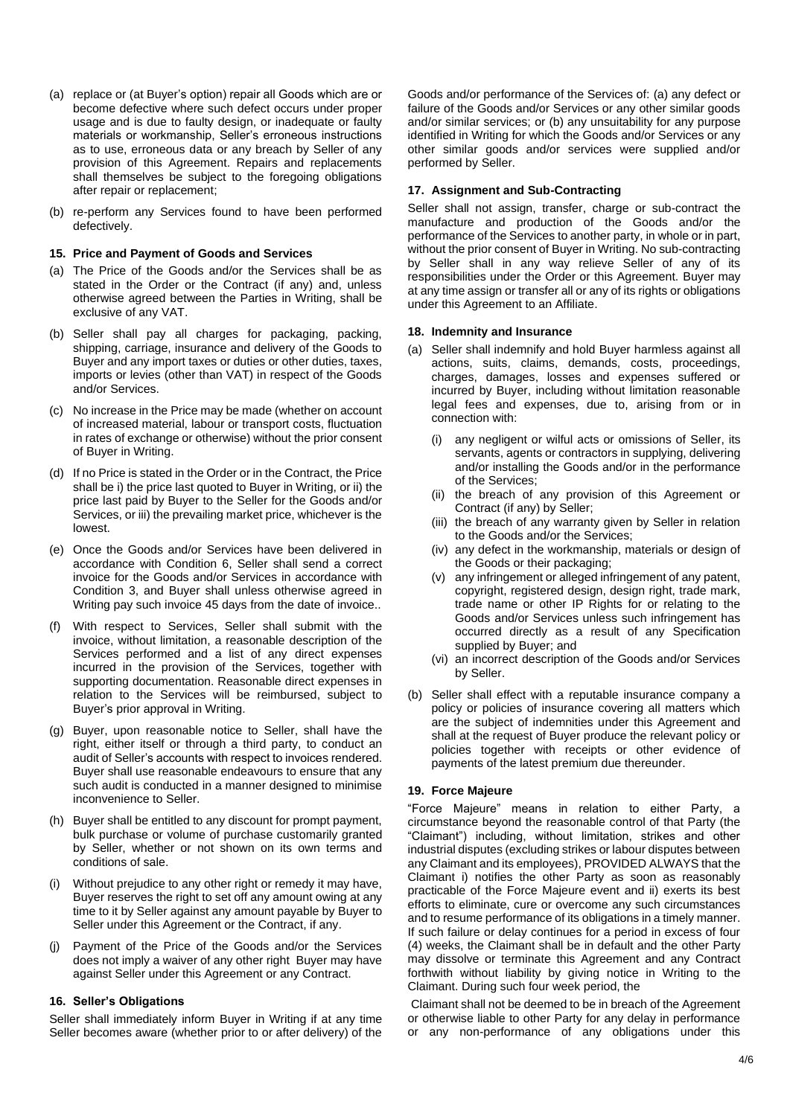- (a) replace or (at Buyer's option) repair all Goods which are or become defective where such defect occurs under proper usage and is due to faulty design, or inadequate or faulty materials or workmanship, Seller's erroneous instructions as to use, erroneous data or any breach by Seller of any provision of this Agreement. Repairs and replacements shall themselves be subject to the foregoing obligations after repair or replacement;
- (b) re-perform any Services found to have been performed defectively.

## **15. Price and Payment of Goods and Services**

- (a) The Price of the Goods and/or the Services shall be as stated in the Order or the Contract (if any) and, unless otherwise agreed between the Parties in Writing, shall be exclusive of any VAT.
- (b) Seller shall pay all charges for packaging, packing, shipping, carriage, insurance and delivery of the Goods to Buyer and any import taxes or duties or other duties, taxes, imports or levies (other than VAT) in respect of the Goods and/or Services.
- (c) No increase in the Price may be made (whether on account of increased material, labour or transport costs, fluctuation in rates of exchange or otherwise) without the prior consent of Buyer in Writing.
- (d) If no Price is stated in the Order or in the Contract, the Price shall be i) the price last quoted to Buyer in Writing, or ii) the price last paid by Buyer to the Seller for the Goods and/or Services, or iii) the prevailing market price, whichever is the lowest.
- (e) Once the Goods and/or Services have been delivered in accordance with Condition 6, Seller shall send a correct invoice for the Goods and/or Services in accordance with Condition 3, and Buyer shall unless otherwise agreed in Writing pay such invoice 45 days from the date of invoice..
- (f) With respect to Services, Seller shall submit with the invoice, without limitation, a reasonable description of the Services performed and a list of any direct expenses incurred in the provision of the Services, together with supporting documentation. Reasonable direct expenses in relation to the Services will be reimbursed, subject to Buyer's prior approval in Writing.
- (g) Buyer, upon reasonable notice to Seller, shall have the right, either itself or through a third party, to conduct an audit of Seller's accounts with respect to invoices rendered. Buyer shall use reasonable endeavours to ensure that any such audit is conducted in a manner designed to minimise inconvenience to Seller.
- (h) Buyer shall be entitled to any discount for prompt payment, bulk purchase or volume of purchase customarily granted by Seller, whether or not shown on its own terms and conditions of sale.
- Without prejudice to any other right or remedy it may have, Buyer reserves the right to set off any amount owing at any time to it by Seller against any amount payable by Buyer to Seller under this Agreement or the Contract, if any.
- Payment of the Price of the Goods and/or the Services does not imply a waiver of any other right Buyer may have against Seller under this Agreement or any Contract.

### **16. Seller's Obligations**

Seller shall immediately inform Buyer in Writing if at any time Seller becomes aware (whether prior to or after delivery) of the

Goods and/or performance of the Services of: (a) any defect or failure of the Goods and/or Services or any other similar goods and/or similar services; or (b) any unsuitability for any purpose identified in Writing for which the Goods and/or Services or any other similar goods and/or services were supplied and/or performed by Seller.

### **17. Assignment and Sub-Contracting**

Seller shall not assign, transfer, charge or sub-contract the manufacture and production of the Goods and/or the performance of the Services to another party, in whole or in part, without the prior consent of Buyer in Writing. No sub-contracting by Seller shall in any way relieve Seller of any of its responsibilities under the Order or this Agreement. Buyer may at any time assign or transfer all or any of its rights or obligations under this Agreement to an Affiliate.

#### **18. Indemnity and Insurance**

- (a) Seller shall indemnify and hold Buyer harmless against all actions, suits, claims, demands, costs, proceedings, charges, damages, losses and expenses suffered or incurred by Buyer, including without limitation reasonable legal fees and expenses, due to, arising from or in connection with:
	- (i) any negligent or wilful acts or omissions of Seller, its servants, agents or contractors in supplying, delivering and/or installing the Goods and/or in the performance of the Services;
	- (ii) the breach of any provision of this Agreement or Contract (if any) by Seller;
	- (iii) the breach of any warranty given by Seller in relation to the Goods and/or the Services;
	- (iv) any defect in the workmanship, materials or design of the Goods or their packaging;
	- (v) any infringement or alleged infringement of any patent, copyright, registered design, design right, trade mark, trade name or other IP Rights for or relating to the Goods and/or Services unless such infringement has occurred directly as a result of any Specification supplied by Buyer; and
	- (vi) an incorrect description of the Goods and/or Services by Seller.
- (b) Seller shall effect with a reputable insurance company a policy or policies of insurance covering all matters which are the subject of indemnities under this Agreement and shall at the request of Buyer produce the relevant policy or policies together with receipts or other evidence of payments of the latest premium due thereunder.

### **19. Force Majeure**

"Force Majeure" means in relation to either Party, a circumstance beyond the reasonable control of that Party (the "Claimant") including, without limitation, strikes and other industrial disputes (excluding strikes or labour disputes between any Claimant and its employees), PROVIDED ALWAYS that the Claimant i) notifies the other Party as soon as reasonably practicable of the Force Majeure event and ii) exerts its best efforts to eliminate, cure or overcome any such circumstances and to resume performance of its obligations in a timely manner. If such failure or delay continues for a period in excess of four (4) weeks, the Claimant shall be in default and the other Party may dissolve or terminate this Agreement and any Contract forthwith without liability by giving notice in Writing to the Claimant. During such four week period, the

Claimant shall not be deemed to be in breach of the Agreement or otherwise liable to other Party for any delay in performance or any non-performance of any obligations under this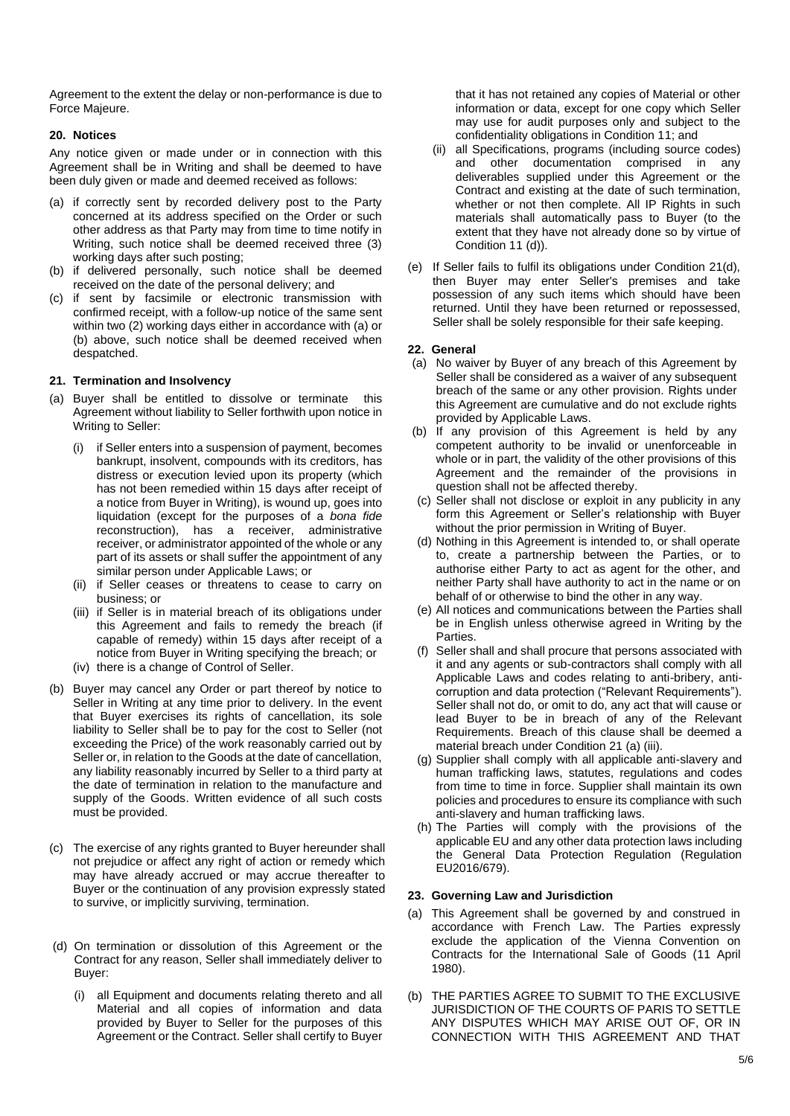Agreement to the extent the delay or non-performance is due to Force Majeure.

## **20. Notices**

Any notice given or made under or in connection with this Agreement shall be in Writing and shall be deemed to have been duly given or made and deemed received as follows:

- (a) if correctly sent by recorded delivery post to the Party concerned at its address specified on the Order or such other address as that Party may from time to time notify in Writing, such notice shall be deemed received three (3) working days after such posting;
- (b) if delivered personally, such notice shall be deemed received on the date of the personal delivery; and
- (c) if sent by facsimile or electronic transmission with confirmed receipt, with a follow-up notice of the same sent within two (2) working days either in accordance with (a) or (b) above, such notice shall be deemed received when despatched.

### **21. Termination and Insolvency**

- (a) Buyer shall be entitled to dissolve or terminate this Agreement without liability to Seller forthwith upon notice in Writing to Seller:
	- (i) if Seller enters into a suspension of payment, becomes bankrupt, insolvent, compounds with its creditors, has distress or execution levied upon its property (which has not been remedied within 15 days after receipt of a notice from Buyer in Writing), is wound up, goes into liquidation (except for the purposes of a *bona fide*  reconstruction), has a receiver, administrative receiver, or administrator appointed of the whole or any part of its assets or shall suffer the appointment of any similar person under Applicable Laws; or
	- (ii) if Seller ceases or threatens to cease to carry on business; or
	- (iii) if Seller is in material breach of its obligations under this Agreement and fails to remedy the breach (if capable of remedy) within 15 days after receipt of a notice from Buyer in Writing specifying the breach; or
	- (iv) there is a change of Control of Seller.
- (b) Buyer may cancel any Order or part thereof by notice to Seller in Writing at any time prior to delivery. In the event that Buyer exercises its rights of cancellation, its sole liability to Seller shall be to pay for the cost to Seller (not exceeding the Price) of the work reasonably carried out by Seller or, in relation to the Goods at the date of cancellation, any liability reasonably incurred by Seller to a third party at the date of termination in relation to the manufacture and supply of the Goods. Written evidence of all such costs must be provided.
- (c) The exercise of any rights granted to Buyer hereunder shall not prejudice or affect any right of action or remedy which may have already accrued or may accrue thereafter to Buyer or the continuation of any provision expressly stated to survive, or implicitly surviving, termination.
- (d) On termination or dissolution of this Agreement or the Contract for any reason, Seller shall immediately deliver to Buyer:
	- (i) all Equipment and documents relating thereto and all Material and all copies of information and data provided by Buyer to Seller for the purposes of this Agreement or the Contract. Seller shall certify to Buyer

that it has not retained any copies of Material or other information or data, except for one copy which Seller may use for audit purposes only and subject to the confidentiality obligations in Condition 11; and

- (ii) all Specifications, programs (including source codes) and other documentation comprised in any deliverables supplied under this Agreement or the Contract and existing at the date of such termination, whether or not then complete. All IP Rights in such materials shall automatically pass to Buyer (to the extent that they have not already done so by virtue of Condition 11 (d)).
- (e) If Seller fails to fulfil its obligations under Condition 21(d), then Buyer may enter Seller's premises and take possession of any such items which should have been returned. Until they have been returned or repossessed, Seller shall be solely responsible for their safe keeping.

#### **22. General**

- (a) No waiver by Buyer of any breach of this Agreement by Seller shall be considered as a waiver of any subsequent breach of the same or any other provision. Rights under this Agreement are cumulative and do not exclude rights provided by Applicable Laws.
- (b) If any provision of this Agreement is held by any competent authority to be invalid or unenforceable in whole or in part, the validity of the other provisions of this Agreement and the remainder of the provisions in question shall not be affected thereby.
- (c) Seller shall not disclose or exploit in any publicity in any form this Agreement or Seller's relationship with Buyer without the prior permission in Writing of Buyer.
- (d) Nothing in this Agreement is intended to, or shall operate to, create a partnership between the Parties, or to authorise either Party to act as agent for the other, and neither Party shall have authority to act in the name or on behalf of or otherwise to bind the other in any way.
- (e) All notices and communications between the Parties shall be in English unless otherwise agreed in Writing by the Parties.
- (f) Seller shall and shall procure that persons associated with it and any agents or sub-contractors shall comply with all Applicable Laws and codes relating to anti-bribery, anticorruption and data protection ("Relevant Requirements"). Seller shall not do, or omit to do, any act that will cause or lead Buyer to be in breach of any of the Relevant Requirements. Breach of this clause shall be deemed a material breach under Condition 21 (a) (iii).
- (g) Supplier shall comply with all applicable anti-slavery and human trafficking laws, statutes, regulations and codes from time to time in force. Supplier shall maintain its own policies and procedures to ensure its compliance with such anti-slavery and human trafficking laws.
- (h) The Parties will comply with the provisions of the applicable EU and any other data protection laws including the General Data Protection Regulation (Regulation EU2016/679).

### **23. Governing Law and Jurisdiction**

- (a) This Agreement shall be governed by and construed in accordance with French Law. The Parties expressly exclude the application of the Vienna Convention on Contracts for the International Sale of Goods (11 April 1980).
- (b) THE PARTIES AGREE TO SUBMIT TO THE EXCLUSIVE JURISDICTION OF THE COURTS OF PARIS TO SETTLE ANY DISPUTES WHICH MAY ARISE OUT OF, OR IN CONNECTION WITH THIS AGREEMENT AND THAT